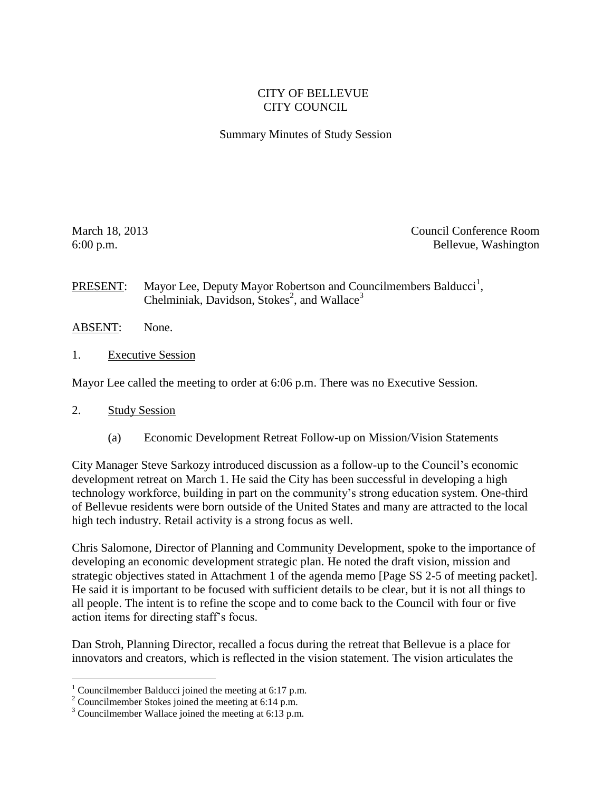## CITY OF BELLEVUE CITY COUNCIL

## Summary Minutes of Study Session

March 18, 2013 Council Conference Room 6:00 p.m. Bellevue, Washington

**PRESENT:** Mayor Lee, Deputy Mayor Robertson and Councilmembers Balducci<sup>1</sup>, Chelminiak, Davidson, Stokes<sup>2</sup>, and Wallace<sup>3</sup>

- ABSENT: None.
- 1. Executive Session

Mayor Lee called the meeting to order at 6:06 p.m. There was no Executive Session.

2. Study Session

 $\overline{a}$ 

(a) Economic Development Retreat Follow-up on Mission/Vision Statements

City Manager Steve Sarkozy introduced discussion as a follow-up to the Council's economic development retreat on March 1. He said the City has been successful in developing a high technology workforce, building in part on the community's strong education system. One-third of Bellevue residents were born outside of the United States and many are attracted to the local high tech industry. Retail activity is a strong focus as well.

Chris Salomone, Director of Planning and Community Development, spoke to the importance of developing an economic development strategic plan. He noted the draft vision, mission and strategic objectives stated in Attachment 1 of the agenda memo [Page SS 2-5 of meeting packet]. He said it is important to be focused with sufficient details to be clear, but it is not all things to all people. The intent is to refine the scope and to come back to the Council with four or five action items for directing staff's focus.

Dan Stroh, Planning Director, recalled a focus during the retreat that Bellevue is a place for innovators and creators, which is reflected in the vision statement. The vision articulates the

<sup>&</sup>lt;sup>1</sup> Councilmember Balducci joined the meeting at 6:17 p.m.

<sup>&</sup>lt;sup>2</sup> Councilmember Stokes joined the meeting at 6:14 p.m.

<sup>&</sup>lt;sup>3</sup> Councilmember Wallace joined the meeting at 6:13 p.m.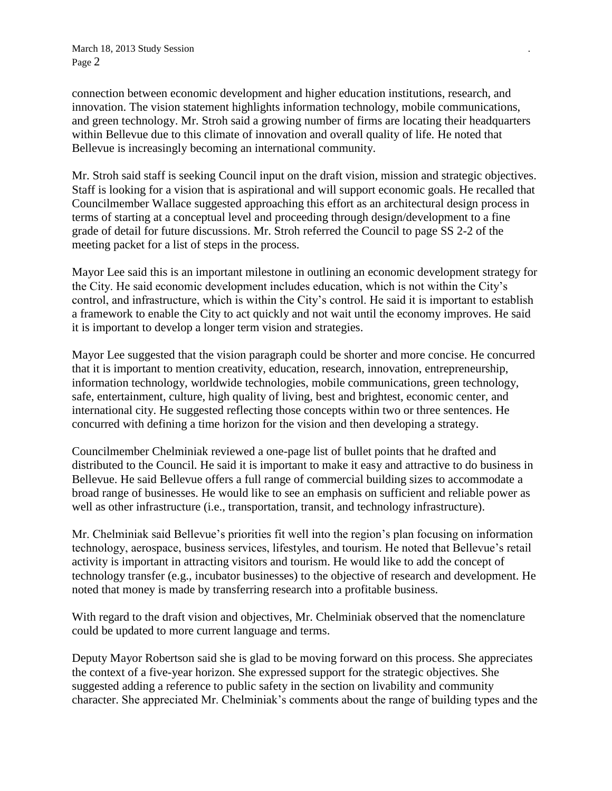connection between economic development and higher education institutions, research, and innovation. The vision statement highlights information technology, mobile communications, and green technology. Mr. Stroh said a growing number of firms are locating their headquarters within Bellevue due to this climate of innovation and overall quality of life. He noted that Bellevue is increasingly becoming an international community.

Mr. Stroh said staff is seeking Council input on the draft vision, mission and strategic objectives. Staff is looking for a vision that is aspirational and will support economic goals. He recalled that Councilmember Wallace suggested approaching this effort as an architectural design process in terms of starting at a conceptual level and proceeding through design/development to a fine grade of detail for future discussions. Mr. Stroh referred the Council to page SS 2-2 of the meeting packet for a list of steps in the process.

Mayor Lee said this is an important milestone in outlining an economic development strategy for the City. He said economic development includes education, which is not within the City's control, and infrastructure, which is within the City's control. He said it is important to establish a framework to enable the City to act quickly and not wait until the economy improves. He said it is important to develop a longer term vision and strategies.

Mayor Lee suggested that the vision paragraph could be shorter and more concise. He concurred that it is important to mention creativity, education, research, innovation, entrepreneurship, information technology, worldwide technologies, mobile communications, green technology, safe, entertainment, culture, high quality of living, best and brightest, economic center, and international city. He suggested reflecting those concepts within two or three sentences. He concurred with defining a time horizon for the vision and then developing a strategy.

Councilmember Chelminiak reviewed a one-page list of bullet points that he drafted and distributed to the Council. He said it is important to make it easy and attractive to do business in Bellevue. He said Bellevue offers a full range of commercial building sizes to accommodate a broad range of businesses. He would like to see an emphasis on sufficient and reliable power as well as other infrastructure (i.e., transportation, transit, and technology infrastructure).

Mr. Chelminiak said Bellevue's priorities fit well into the region's plan focusing on information technology, aerospace, business services, lifestyles, and tourism. He noted that Bellevue's retail activity is important in attracting visitors and tourism. He would like to add the concept of technology transfer (e.g., incubator businesses) to the objective of research and development. He noted that money is made by transferring research into a profitable business.

With regard to the draft vision and objectives, Mr. Chelminiak observed that the nomenclature could be updated to more current language and terms.

Deputy Mayor Robertson said she is glad to be moving forward on this process. She appreciates the context of a five-year horizon. She expressed support for the strategic objectives. She suggested adding a reference to public safety in the section on livability and community character. She appreciated Mr. Chelminiak's comments about the range of building types and the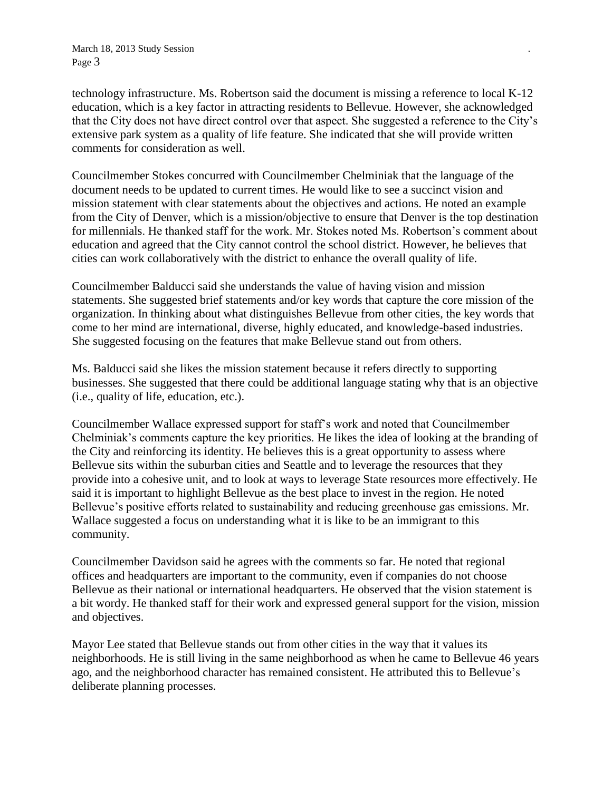technology infrastructure. Ms. Robertson said the document is missing a reference to local K-12 education, which is a key factor in attracting residents to Bellevue. However, she acknowledged that the City does not have direct control over that aspect. She suggested a reference to the City's extensive park system as a quality of life feature. She indicated that she will provide written comments for consideration as well.

Councilmember Stokes concurred with Councilmember Chelminiak that the language of the document needs to be updated to current times. He would like to see a succinct vision and mission statement with clear statements about the objectives and actions. He noted an example from the City of Denver, which is a mission/objective to ensure that Denver is the top destination for millennials. He thanked staff for the work. Mr. Stokes noted Ms. Robertson's comment about education and agreed that the City cannot control the school district. However, he believes that cities can work collaboratively with the district to enhance the overall quality of life.

Councilmember Balducci said she understands the value of having vision and mission statements. She suggested brief statements and/or key words that capture the core mission of the organization. In thinking about what distinguishes Bellevue from other cities, the key words that come to her mind are international, diverse, highly educated, and knowledge-based industries. She suggested focusing on the features that make Bellevue stand out from others.

Ms. Balducci said she likes the mission statement because it refers directly to supporting businesses. She suggested that there could be additional language stating why that is an objective (i.e., quality of life, education, etc.).

Councilmember Wallace expressed support for staff's work and noted that Councilmember Chelminiak's comments capture the key priorities. He likes the idea of looking at the branding of the City and reinforcing its identity. He believes this is a great opportunity to assess where Bellevue sits within the suburban cities and Seattle and to leverage the resources that they provide into a cohesive unit, and to look at ways to leverage State resources more effectively. He said it is important to highlight Bellevue as the best place to invest in the region. He noted Bellevue's positive efforts related to sustainability and reducing greenhouse gas emissions. Mr. Wallace suggested a focus on understanding what it is like to be an immigrant to this community.

Councilmember Davidson said he agrees with the comments so far. He noted that regional offices and headquarters are important to the community, even if companies do not choose Bellevue as their national or international headquarters. He observed that the vision statement is a bit wordy. He thanked staff for their work and expressed general support for the vision, mission and objectives.

Mayor Lee stated that Bellevue stands out from other cities in the way that it values its neighborhoods. He is still living in the same neighborhood as when he came to Bellevue 46 years ago, and the neighborhood character has remained consistent. He attributed this to Bellevue's deliberate planning processes.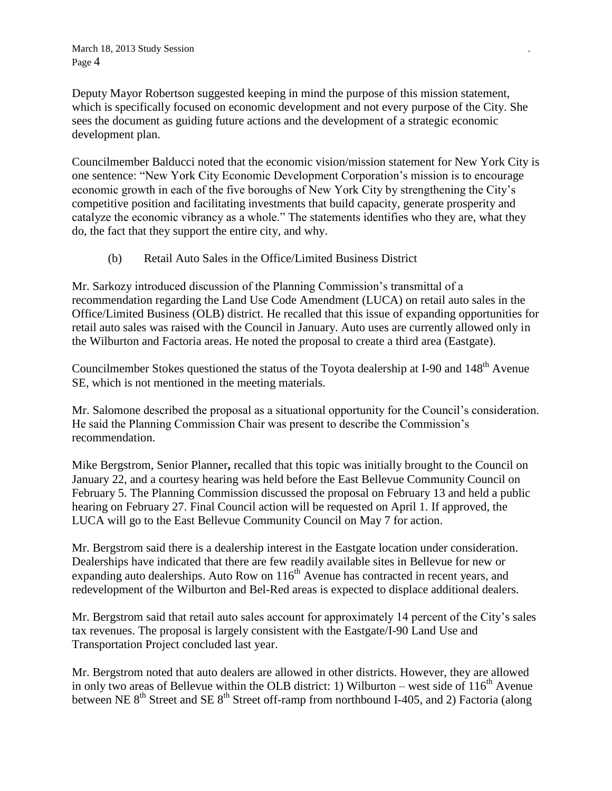Deputy Mayor Robertson suggested keeping in mind the purpose of this mission statement, which is specifically focused on economic development and not every purpose of the City. She sees the document as guiding future actions and the development of a strategic economic development plan.

Councilmember Balducci noted that the economic vision/mission statement for New York City is one sentence: "New York City Economic Development Corporation's mission is to encourage economic growth in each of the five boroughs of New York City by strengthening the City's competitive position and facilitating investments that build capacity, generate prosperity and catalyze the economic vibrancy as a whole." The statements identifies who they are, what they do, the fact that they support the entire city, and why.

(b) Retail Auto Sales in the Office/Limited Business District

Mr. Sarkozy introduced discussion of the Planning Commission's transmittal of a recommendation regarding the Land Use Code Amendment (LUCA) on retail auto sales in the Office/Limited Business (OLB) district. He recalled that this issue of expanding opportunities for retail auto sales was raised with the Council in January. Auto uses are currently allowed only in the Wilburton and Factoria areas. He noted the proposal to create a third area (Eastgate).

Councilmember Stokes questioned the status of the Toyota dealership at I-90 and 148<sup>th</sup> Avenue SE, which is not mentioned in the meeting materials.

Mr. Salomone described the proposal as a situational opportunity for the Council's consideration. He said the Planning Commission Chair was present to describe the Commission's recommendation.

Mike Bergstrom, Senior Planner**,** recalled that this topic was initially brought to the Council on January 22, and a courtesy hearing was held before the East Bellevue Community Council on February 5. The Planning Commission discussed the proposal on February 13 and held a public hearing on February 27. Final Council action will be requested on April 1. If approved, the LUCA will go to the East Bellevue Community Council on May 7 for action.

Mr. Bergstrom said there is a dealership interest in the Eastgate location under consideration. Dealerships have indicated that there are few readily available sites in Bellevue for new or expanding auto dealerships. Auto Row on  $116<sup>th</sup>$  Avenue has contracted in recent years, and redevelopment of the Wilburton and Bel-Red areas is expected to displace additional dealers.

Mr. Bergstrom said that retail auto sales account for approximately 14 percent of the City's sales tax revenues. The proposal is largely consistent with the Eastgate/I-90 Land Use and Transportation Project concluded last year.

Mr. Bergstrom noted that auto dealers are allowed in other districts. However, they are allowed in only two areas of Bellevue within the OLB district: 1) Wilburton – west side of  $116<sup>th</sup>$  Avenue between NE  $8<sup>th</sup>$  Street and SE  $8<sup>th</sup>$  Street off-ramp from northbound I-405, and 2) Factoria (along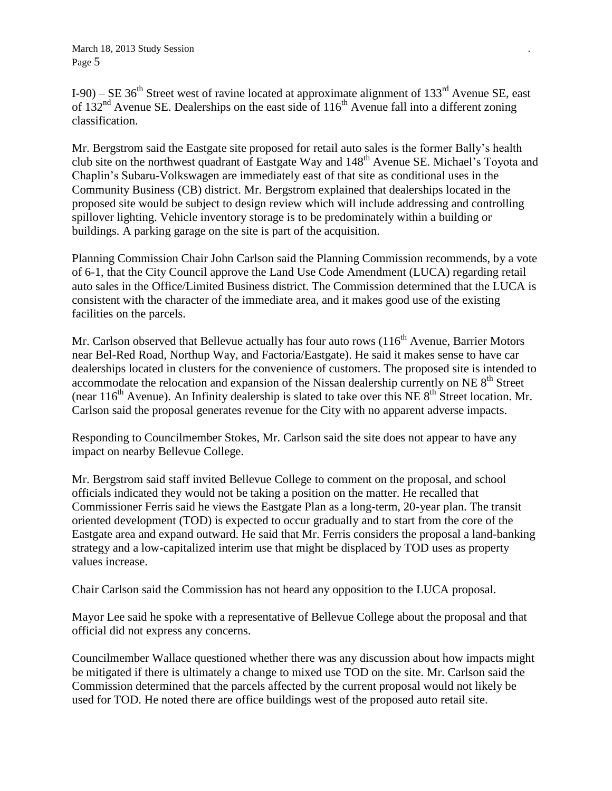I-90) – SE 36<sup>th</sup> Street west of ravine located at approximate alignment of 133<sup>rd</sup> Avenue SE, east of  $132<sup>nd</sup>$  Avenue SE. Dealerships on the east side of  $116<sup>th</sup>$  Avenue fall into a different zoning classification.

Mr. Bergstrom said the Eastgate site proposed for retail auto sales is the former Bally's health club site on the northwest quadrant of Eastgate Way and 148<sup>th</sup> Avenue SE. Michael's Toyota and Chaplin's Subaru-Volkswagen are immediately east of that site as conditional uses in the Community Business (CB) district. Mr. Bergstrom explained that dealerships located in the proposed site would be subject to design review which will include addressing and controlling spillover lighting. Vehicle inventory storage is to be predominately within a building or buildings. A parking garage on the site is part of the acquisition.

Planning Commission Chair John Carlson said the Planning Commission recommends, by a vote of 6-1, that the City Council approve the Land Use Code Amendment (LUCA) regarding retail auto sales in the Office/Limited Business district. The Commission determined that the LUCA is consistent with the character of the immediate area, and it makes good use of the existing facilities on the parcels.

Mr. Carlson observed that Bellevue actually has four auto rows  $(116<sup>th</sup>$  Avenue, Barrier Motors near Bel-Red Road, Northup Way, and Factoria/Eastgate). He said it makes sense to have car dealerships located in clusters for the convenience of customers. The proposed site is intended to accommodate the relocation and expansion of the Nissan dealership currently on  $NE 8<sup>th</sup> Street$ (near  $116^{th}$  Avenue). An Infinity dealership is slated to take over this NE  $8^{th}$  Street location. Mr. Carlson said the proposal generates revenue for the City with no apparent adverse impacts.

Responding to Councilmember Stokes, Mr. Carlson said the site does not appear to have any impact on nearby Bellevue College.

Mr. Bergstrom said staff invited Bellevue College to comment on the proposal, and school officials indicated they would not be taking a position on the matter. He recalled that Commissioner Ferris said he views the Eastgate Plan as a long-term, 20-year plan. The transit oriented development (TOD) is expected to occur gradually and to start from the core of the Eastgate area and expand outward. He said that Mr. Ferris considers the proposal a land-banking strategy and a low-capitalized interim use that might be displaced by TOD uses as property values increase.

Chair Carlson said the Commission has not heard any opposition to the LUCA proposal.

Mayor Lee said he spoke with a representative of Bellevue College about the proposal and that official did not express any concerns.

Councilmember Wallace questioned whether there was any discussion about how impacts might be mitigated if there is ultimately a change to mixed use TOD on the site. Mr. Carlson said the Commission determined that the parcels affected by the current proposal would not likely be used for TOD. He noted there are office buildings west of the proposed auto retail site.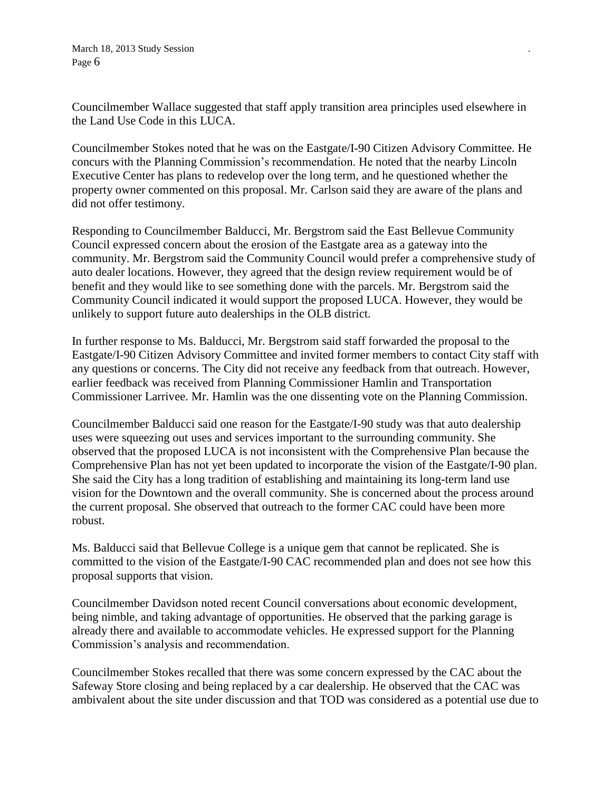Councilmember Wallace suggested that staff apply transition area principles used elsewhere in the Land Use Code in this LUCA.

Councilmember Stokes noted that he was on the Eastgate/I-90 Citizen Advisory Committee. He concurs with the Planning Commission's recommendation. He noted that the nearby Lincoln Executive Center has plans to redevelop over the long term, and he questioned whether the property owner commented on this proposal. Mr. Carlson said they are aware of the plans and did not offer testimony.

Responding to Councilmember Balducci, Mr. Bergstrom said the East Bellevue Community Council expressed concern about the erosion of the Eastgate area as a gateway into the community. Mr. Bergstrom said the Community Council would prefer a comprehensive study of auto dealer locations. However, they agreed that the design review requirement would be of benefit and they would like to see something done with the parcels. Mr. Bergstrom said the Community Council indicated it would support the proposed LUCA. However, they would be unlikely to support future auto dealerships in the OLB district.

In further response to Ms. Balducci, Mr. Bergstrom said staff forwarded the proposal to the Eastgate/I-90 Citizen Advisory Committee and invited former members to contact City staff with any questions or concerns. The City did not receive any feedback from that outreach. However, earlier feedback was received from Planning Commissioner Hamlin and Transportation Commissioner Larrivee. Mr. Hamlin was the one dissenting vote on the Planning Commission.

Councilmember Balducci said one reason for the Eastgate/I-90 study was that auto dealership uses were squeezing out uses and services important to the surrounding community. She observed that the proposed LUCA is not inconsistent with the Comprehensive Plan because the Comprehensive Plan has not yet been updated to incorporate the vision of the Eastgate/I-90 plan. She said the City has a long tradition of establishing and maintaining its long-term land use vision for the Downtown and the overall community. She is concerned about the process around the current proposal. She observed that outreach to the former CAC could have been more robust.

Ms. Balducci said that Bellevue College is a unique gem that cannot be replicated. She is committed to the vision of the Eastgate/I-90 CAC recommended plan and does not see how this proposal supports that vision.

Councilmember Davidson noted recent Council conversations about economic development, being nimble, and taking advantage of opportunities. He observed that the parking garage is already there and available to accommodate vehicles. He expressed support for the Planning Commission's analysis and recommendation.

Councilmember Stokes recalled that there was some concern expressed by the CAC about the Safeway Store closing and being replaced by a car dealership. He observed that the CAC was ambivalent about the site under discussion and that TOD was considered as a potential use due to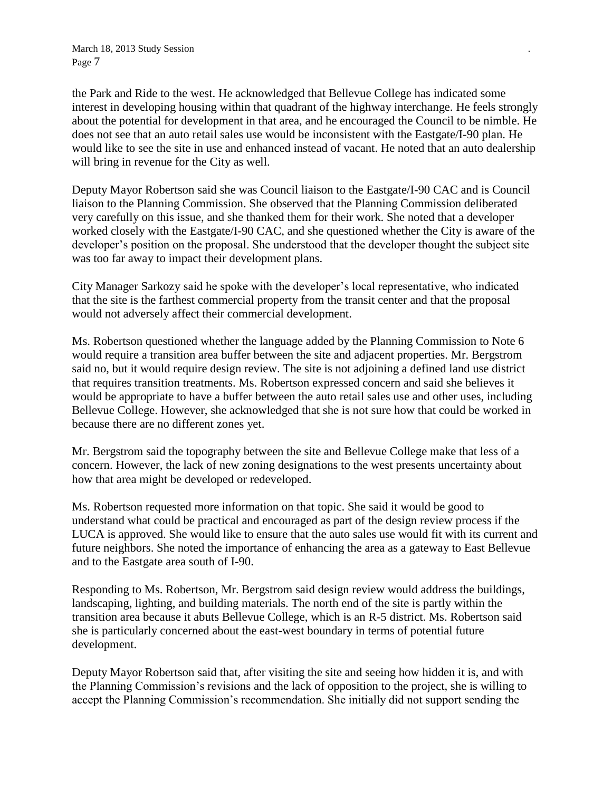the Park and Ride to the west. He acknowledged that Bellevue College has indicated some interest in developing housing within that quadrant of the highway interchange. He feels strongly about the potential for development in that area, and he encouraged the Council to be nimble. He does not see that an auto retail sales use would be inconsistent with the Eastgate/I-90 plan. He would like to see the site in use and enhanced instead of vacant. He noted that an auto dealership will bring in revenue for the City as well.

Deputy Mayor Robertson said she was Council liaison to the Eastgate/I-90 CAC and is Council liaison to the Planning Commission. She observed that the Planning Commission deliberated very carefully on this issue, and she thanked them for their work. She noted that a developer worked closely with the Eastgate/I-90 CAC, and she questioned whether the City is aware of the developer's position on the proposal. She understood that the developer thought the subject site was too far away to impact their development plans.

City Manager Sarkozy said he spoke with the developer's local representative, who indicated that the site is the farthest commercial property from the transit center and that the proposal would not adversely affect their commercial development.

Ms. Robertson questioned whether the language added by the Planning Commission to Note 6 would require a transition area buffer between the site and adjacent properties. Mr. Bergstrom said no, but it would require design review. The site is not adjoining a defined land use district that requires transition treatments. Ms. Robertson expressed concern and said she believes it would be appropriate to have a buffer between the auto retail sales use and other uses, including Bellevue College. However, she acknowledged that she is not sure how that could be worked in because there are no different zones yet.

Mr. Bergstrom said the topography between the site and Bellevue College make that less of a concern. However, the lack of new zoning designations to the west presents uncertainty about how that area might be developed or redeveloped.

Ms. Robertson requested more information on that topic. She said it would be good to understand what could be practical and encouraged as part of the design review process if the LUCA is approved. She would like to ensure that the auto sales use would fit with its current and future neighbors. She noted the importance of enhancing the area as a gateway to East Bellevue and to the Eastgate area south of I-90.

Responding to Ms. Robertson, Mr. Bergstrom said design review would address the buildings, landscaping, lighting, and building materials. The north end of the site is partly within the transition area because it abuts Bellevue College, which is an R-5 district. Ms. Robertson said she is particularly concerned about the east-west boundary in terms of potential future development.

Deputy Mayor Robertson said that, after visiting the site and seeing how hidden it is, and with the Planning Commission's revisions and the lack of opposition to the project, she is willing to accept the Planning Commission's recommendation. She initially did not support sending the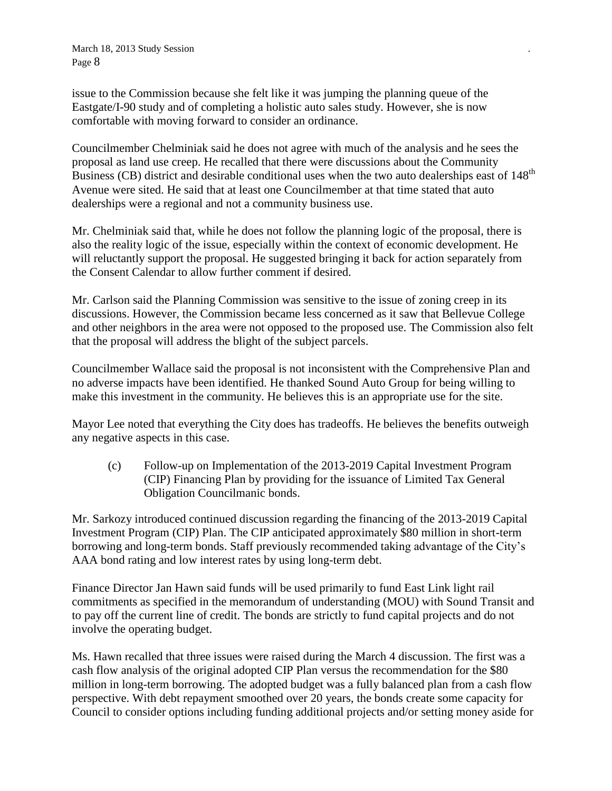issue to the Commission because she felt like it was jumping the planning queue of the Eastgate/I-90 study and of completing a holistic auto sales study. However, she is now comfortable with moving forward to consider an ordinance.

Councilmember Chelminiak said he does not agree with much of the analysis and he sees the proposal as land use creep. He recalled that there were discussions about the Community Business (CB) district and desirable conditional uses when the two auto dealerships east of 148<sup>th</sup> Avenue were sited. He said that at least one Councilmember at that time stated that auto dealerships were a regional and not a community business use.

Mr. Chelminiak said that, while he does not follow the planning logic of the proposal, there is also the reality logic of the issue, especially within the context of economic development. He will reluctantly support the proposal. He suggested bringing it back for action separately from the Consent Calendar to allow further comment if desired.

Mr. Carlson said the Planning Commission was sensitive to the issue of zoning creep in its discussions. However, the Commission became less concerned as it saw that Bellevue College and other neighbors in the area were not opposed to the proposed use. The Commission also felt that the proposal will address the blight of the subject parcels.

Councilmember Wallace said the proposal is not inconsistent with the Comprehensive Plan and no adverse impacts have been identified. He thanked Sound Auto Group for being willing to make this investment in the community. He believes this is an appropriate use for the site.

Mayor Lee noted that everything the City does has tradeoffs. He believes the benefits outweigh any negative aspects in this case.

(c) Follow-up on Implementation of the 2013-2019 Capital Investment Program (CIP) Financing Plan by providing for the issuance of Limited Tax General Obligation Councilmanic bonds.

Mr. Sarkozy introduced continued discussion regarding the financing of the 2013-2019 Capital Investment Program (CIP) Plan. The CIP anticipated approximately \$80 million in short-term borrowing and long-term bonds. Staff previously recommended taking advantage of the City's AAA bond rating and low interest rates by using long-term debt.

Finance Director Jan Hawn said funds will be used primarily to fund East Link light rail commitments as specified in the memorandum of understanding (MOU) with Sound Transit and to pay off the current line of credit. The bonds are strictly to fund capital projects and do not involve the operating budget.

Ms. Hawn recalled that three issues were raised during the March 4 discussion. The first was a cash flow analysis of the original adopted CIP Plan versus the recommendation for the \$80 million in long-term borrowing. The adopted budget was a fully balanced plan from a cash flow perspective. With debt repayment smoothed over 20 years, the bonds create some capacity for Council to consider options including funding additional projects and/or setting money aside for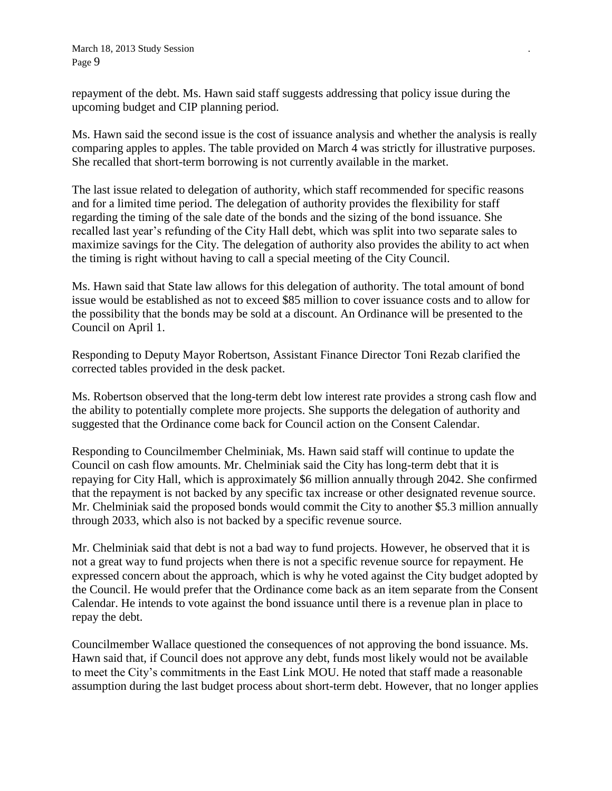repayment of the debt. Ms. Hawn said staff suggests addressing that policy issue during the upcoming budget and CIP planning period.

Ms. Hawn said the second issue is the cost of issuance analysis and whether the analysis is really comparing apples to apples. The table provided on March 4 was strictly for illustrative purposes. She recalled that short-term borrowing is not currently available in the market.

The last issue related to delegation of authority, which staff recommended for specific reasons and for a limited time period. The delegation of authority provides the flexibility for staff regarding the timing of the sale date of the bonds and the sizing of the bond issuance. She recalled last year's refunding of the City Hall debt, which was split into two separate sales to maximize savings for the City. The delegation of authority also provides the ability to act when the timing is right without having to call a special meeting of the City Council.

Ms. Hawn said that State law allows for this delegation of authority. The total amount of bond issue would be established as not to exceed \$85 million to cover issuance costs and to allow for the possibility that the bonds may be sold at a discount. An Ordinance will be presented to the Council on April 1.

Responding to Deputy Mayor Robertson, Assistant Finance Director Toni Rezab clarified the corrected tables provided in the desk packet.

Ms. Robertson observed that the long-term debt low interest rate provides a strong cash flow and the ability to potentially complete more projects. She supports the delegation of authority and suggested that the Ordinance come back for Council action on the Consent Calendar.

Responding to Councilmember Chelminiak, Ms. Hawn said staff will continue to update the Council on cash flow amounts. Mr. Chelminiak said the City has long-term debt that it is repaying for City Hall, which is approximately \$6 million annually through 2042. She confirmed that the repayment is not backed by any specific tax increase or other designated revenue source. Mr. Chelminiak said the proposed bonds would commit the City to another \$5.3 million annually through 2033, which also is not backed by a specific revenue source.

Mr. Chelminiak said that debt is not a bad way to fund projects. However, he observed that it is not a great way to fund projects when there is not a specific revenue source for repayment. He expressed concern about the approach, which is why he voted against the City budget adopted by the Council. He would prefer that the Ordinance come back as an item separate from the Consent Calendar. He intends to vote against the bond issuance until there is a revenue plan in place to repay the debt.

Councilmember Wallace questioned the consequences of not approving the bond issuance. Ms. Hawn said that, if Council does not approve any debt, funds most likely would not be available to meet the City's commitments in the East Link MOU. He noted that staff made a reasonable assumption during the last budget process about short-term debt. However, that no longer applies